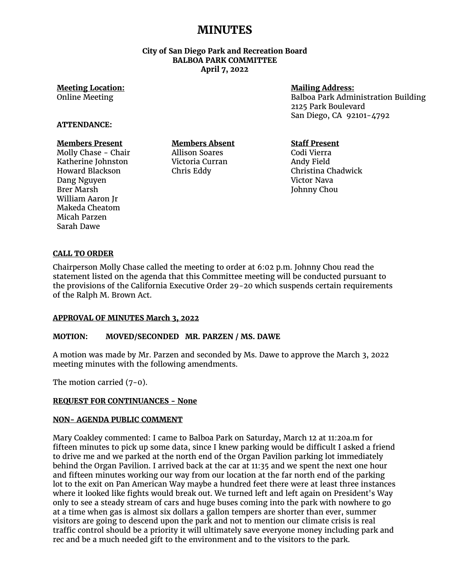# **MINUTES**

**City of San Diego Park and Recreation Board BALBOA PARK COMMITTEE April 7, 2022** 

## **Meeting Location:**

Online Meeting

## **Mailing Address:**

Balboa Park Administration Building 2125 Park Boulevard San Diego, CA 92101-4792

#### **ATTENDANCE:**

## **Members Present**

Molly Chase - Chair Katherine Johnston Howard Blackson Dang Nguyen Brer Marsh William Aaron Jr Makeda Cheatom Micah Parzen Sarah Dawe

**Members Absent** Allison Soares Victoria Curran Chris Eddy

## **Staff Present**

Codi Vierra Andy Field Christina Chadwick Victor Nava Johnny Chou

## **CALL TO ORDER**

Chairperson Molly Chase called the meeting to order at 6:02 p.m. Johnny Chou read the statement listed on the agenda that this Committee meeting will be conducted pursuant to the provisions of the California Executive Order 29-20 which suspends certain requirements of the Ralph M. Brown Act.

## **APPROVAL OF MINUTES March 3, 2022**

#### **MOTION: MOVED/SECONDED MR. PARZEN / MS. DAWE**

A motion was made by Mr. Parzen and seconded by Ms. Dawe to approve the March 3, 2022 meeting minutes with the following amendments.

The motion carried (7-0).

#### **REQUEST FOR CONTINUANCES - None**

#### **NON- AGENDA PUBLIC COMMENT**

Mary Coakley commented: I came to Balboa Park on Saturday, March 12 at 11:20a.m for fifteen minutes to pick up some data, since I knew parking would be difficult I asked a friend to drive me and we parked at the north end of the Organ Pavilion parking lot immediately behind the Organ Pavilion. I arrived back at the car at 11:35 and we spent the next one hour and fifteen minutes working our way from our location at the far north end of the parking lot to the exit on Pan American Way maybe a hundred feet there were at least three instances where it looked like fights would break out. We turned left and left again on President's Way only to see a steady stream of cars and huge buses coming into the park with nowhere to go at a time when gas is almost six dollars a gallon tempers are shorter than ever, summer visitors are going to descend upon the park and not to mention our climate crisis is real traffic control should be a priority it will ultimately save everyone money including park and rec and be a much needed gift to the environment and to the visitors to the park.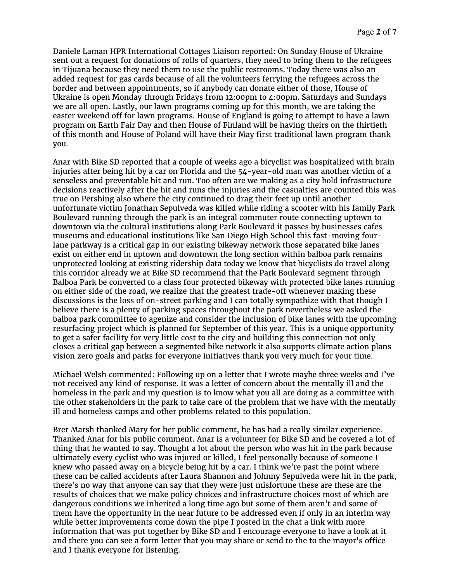Daniele Laman HPR International Cottages Liaison reported: On Sunday House of Ukraine sent out a request for donations of rolls of quarters, they need to bring them to the refugees in Tijuana because they need them to use the public restrooms. Today there was also an added request for gas cards because of all the volunteers ferrying the refugees across the border and between appointments, so if anybody can donate either of those, House of Ukraine is open Monday through Fridays from 12:00pm to 4:00pm. Saturdays and Sundays we are all open. Lastly, our lawn programs coming up for this month, we are taking the easter weekend off for lawn programs. House of England is going to attempt to have a lawn program on Earth Fair Day and then House of Finland will be having theirs on the thirtieth of this month and House of Poland will have their May first traditional lawn program thank you.

Anar with Bike SD reported that a couple of weeks ago a bicyclist was hospitalized with brain injuries after being hit by a car on Florida and the 54-year-old man was another victim of a senseless and preventable hit and run. Too often are we making as a city bold infrastructure decisions reactively after the hit and runs the injuries and the casualties are counted this was true on Pershing also where the city continued to drag their feet up until another unfortunate victim Jonathan Sepulveda was killed while riding a scooter with his family Park Boulevard running through the park is an integral commuter route connecting uptown to downtown via the cultural institutions along Park Boulevard it passes by businesses cafes museums and educational institutions like San Diego High School this fast-moving fourlane parkway is a critical gap in our existing bikeway network those separated bike lanes exist on either end in uptown and downtown the long section within balboa park remains unprotected looking at existing ridership data today we know that bicyclists do travel along this corridor already we at Bike SD recommend that the Park Boulevard segment through Balboa Park be converted to a class four protected bikeway with protected bike lanes running on either side of the road, we realize that the greatest trade-off whenever making these discussions is the loss of on-street parking and I can totally sympathize with that though I believe there is a plenty of parking spaces throughout the park nevertheless we asked the balboa park committee to agenize and consider the inclusion of bike lanes with the upcoming resurfacing project which is planned for September of this year. This is a unique opportunity to get a safer facility for very little cost to the city and building this connection not only closes a critical gap between a segmented bike network it also supports climate action plans vision zero goals and parks for everyone initiatives thank you very much for your time.

Michael Welsh commented: Following up on a letter that I wrote maybe three weeks and I've not received any kind of response. It was a letter of concern about the mentally ill and the homeless in the park and my question is to know what you all are doing as a committee with the other stakeholders in the park to take care of the problem that we have with the mentally ill and homeless camps and other problems related to this population.

Brer Marsh thanked Mary for her public comment, he has had a really similar experience. Thanked Anar for his public comment. Anar is a volunteer for Bike SD and he covered a lot of thing that he wanted to say. Thought a lot about the person who was hit in the park because ultimately every cyclist who was injured or killed, I feel personally because of someone I knew who passed away on a bicycle being hit by a car. I think we're past the point where these can be called accidents after Laura Shannon and Johnny Sepulveda were hit in the park, there's no way that anyone can say that they were just misfortune these are these are the results of choices that we make policy choices and infrastructure choices most of which are dangerous conditions we inherited a long time ago but some of them aren't and some of them have the opportunity in the near future to be addressed even if only in an interim way while better improvements come down the pipe I posted in the chat a link with more information that was put together by Bike SD and I encourage everyone to have a look at it and there you can see a form letter that you may share or send to the to the mayor's office and I thank everyone for listening.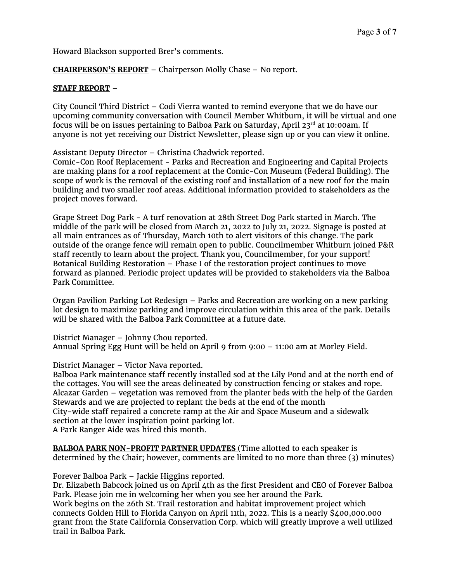Howard Blackson supported Brer's comments.

## **CHAIRPERSON'S REPORT** – Chairperson Molly Chase – No report.

#### **STAFF REPORT –**

City Council Third District – Codi Vierra wanted to remind everyone that we do have our upcoming community conversation with Council Member Whitburn, it will be virtual and one focus will be on issues pertaining to Balboa Park on Saturday, April 23 $^{rd}$  at 10:00am. If anyone is not yet receiving our District Newsletter, please sign up or you can view it online.

Assistant Deputy Director – Christina Chadwick reported.

Comic-Con Roof Replacement - Parks and Recreation and Engineering and Capital Projects are making plans for a roof replacement at the Comic-Con Museum (Federal Building). The scope of work is the removal of the existing roof and installation of a new roof for the main building and two smaller roof areas. Additional information provided to stakeholders as the project moves forward.

Grape Street Dog Park - A turf renovation at 28th Street Dog Park started in March. The middle of the park will be closed from March 21, 2022 to July 21, 2022. Signage is posted at all main entrances as of Thursday, March 10th to alert visitors of this change. The park outside of the orange fence will remain open to public. Councilmember Whitburn joined P&R staff recently to learn about the project. Thank you, Councilmember, for your support! Botanical Building Restoration – Phase I of the restoration project continues to move forward as planned. Periodic project updates will be provided to stakeholders via the Balboa Park Committee.

Organ Pavilion Parking Lot Redesign – Parks and Recreation are working on a new parking lot design to maximize parking and improve circulation within this area of the park. Details will be shared with the Balboa Park Committee at a future date.

District Manager – Johnny Chou reported. Annual Spring Egg Hunt will be held on April 9 from 9:00 – 11:00 am at Morley Field.

## District Manager – Victor Nava reported.

Balboa Park maintenance staff recently installed sod at the Lily Pond and at the north end of the cottages. You will see the areas delineated by construction fencing or stakes and rope. Alcazar Garden – vegetation was removed from the planter beds with the help of the Garden Stewards and we are projected to replant the beds at the end of the month City-wide staff repaired a concrete ramp at the Air and Space Museum and a sidewalk section at the lower inspiration point parking lot. A Park Ranger Aide was hired this month.

**BALBOA PARK NON-PROFIT PARTNER UPDATES** (Time allotted to each speaker is determined by the Chair; however, comments are limited to no more than three (3) minutes)

Forever Balboa Park – Jackie Higgins reported.

Dr. Elizabeth Babcock joined us on April 4th as the first President and CEO of Forever Balboa Park. Please join me in welcoming her when you see her around the Park. Work begins on the 26th St. Trail restoration and habitat improvement project which connects Golden Hill to Florida Canyon on April 11th, 2022. This is a nearly \$400,000.000 grant from the State California Conservation Corp. which will greatly improve a well utilized trail in Balboa Park.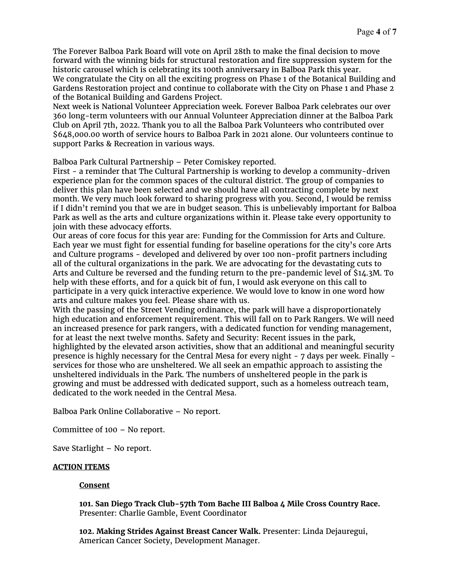The Forever Balboa Park Board will vote on April 28th to make the final decision to move forward with the winning bids for structural restoration and fire suppression system for the historic carousel which is celebrating its 100th anniversary in Balboa Park this year. We congratulate the City on all the exciting progress on Phase 1 of the Botanical Building and Gardens Restoration project and continue to collaborate with the City on Phase 1 and Phase 2 of the Botanical Building and Gardens Project.

Next week is National Volunteer Appreciation week. Forever Balboa Park celebrates our over 360 long-term volunteers with our Annual Volunteer Appreciation dinner at the Balboa Park Club on April 7th, 2022. Thank you to all the Balboa Park Volunteers who contributed over \$648,000.00 worth of service hours to Balboa Park in 2021 alone. Our volunteers continue to support Parks & Recreation in various ways.

Balboa Park Cultural Partnership – Peter Comiskey reported.

First - a reminder that The Cultural Partnership is working to develop a community-driven experience plan for the common spaces of the cultural district. The group of companies to deliver this plan have been selected and we should have all contracting complete by next month. We very much look forward to sharing progress with you. Second, I would be remiss if I didn't remind you that we are in budget season. This is unbelievably important for Balboa Park as well as the arts and culture organizations within it. Please take every opportunity to join with these advocacy efforts.

Our areas of core focus for this year are: Funding for the Commission for Arts and Culture. Each year we must fight for essential funding for baseline operations for the city's core Arts and Culture programs - developed and delivered by over 100 non-profit partners including all of the cultural organizations in the park. We are advocating for the devastating cuts to Arts and Culture be reversed and the funding return to the pre-pandemic level of \$14.3M. To help with these efforts, and for a quick bit of fun, I would ask everyone on this call to participate in a very quick interactive experience. We would love to know in one word how arts and culture makes you feel. Please share with us.

With the passing of the Street Vending ordinance, the park will have a disproportionately high education and enforcement requirement. This will fall on to Park Rangers. We will need an increased presence for park rangers, with a dedicated function for vending management, for at least the next twelve months. Safety and Security: Recent issues in the park, highlighted by the elevated arson activities, show that an additional and meaningful security presence is highly necessary for the Central Mesa for every night - 7 days per week. Finally services for those who are unsheltered. We all seek an empathic approach to assisting the unsheltered individuals in the Park. The numbers of unsheltered people in the park is growing and must be addressed with dedicated support, such as a homeless outreach team, dedicated to the work needed in the Central Mesa.

Balboa Park Online Collaborative – No report.

Committee of 100 – No report.

Save Starlight – No report.

#### **ACTION ITEMS**

#### **Consent**

**101. San Diego Track Club-57th Tom Bache III Balboa 4 Mile Cross Country Race.**  Presenter: Charlie Gamble, Event Coordinator

**102. Making Strides Against Breast Cancer Walk.** Presenter: Linda Dejauregui, American Cancer Society, Development Manager.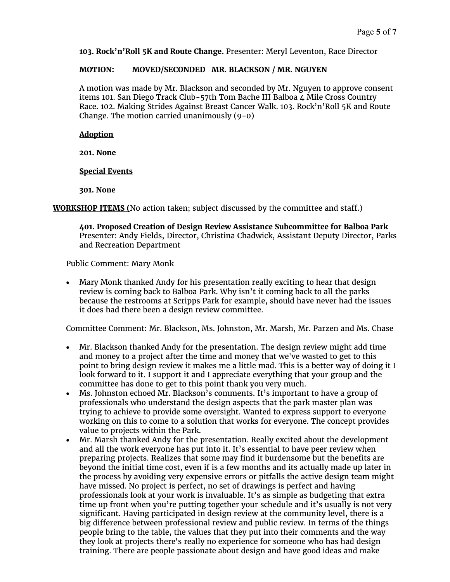**103. Rock'n'Roll 5K and Route Change.** Presenter: Meryl Leventon, Race Director

#### **MOTION: MOVED/SECONDED MR. BLACKSON / MR. NGUYEN**

A motion was made by Mr. Blackson and seconded by Mr. Nguyen to approve consent items 101. San Diego Track Club-57th Tom Bache III Balboa 4 Mile Cross Country Race. 102. Making Strides Against Breast Cancer Walk. 103. Rock'n'Roll 5K and Route Change. The motion carried unanimously (9-0)

#### **Adoption**

**201. None**

#### **Special Events**

**301. None**

**WORKSHOP ITEMS (**No action taken; subject discussed by the committee and staff.)

**401. Proposed Creation of Design Review Assistance Subcommittee for Balboa Park** Presenter: Andy Fields, Director, Christina Chadwick, Assistant Deputy Director, Parks and Recreation Department

Public Comment: Mary Monk

• Mary Monk thanked Andy for his presentation really exciting to hear that design review is coming back to Balboa Park. Why isn't it coming back to all the parks because the restrooms at Scripps Park for example, should have never had the issues it does had there been a design review committee.

Committee Comment: Mr. Blackson, Ms. Johnston, Mr. Marsh, Mr. Parzen and Ms. Chase

- Mr. Blackson thanked Andy for the presentation. The design review might add time and money to a project after the time and money that we've wasted to get to this point to bring design review it makes me a little mad. This is a better way of doing it I look forward to it. I support it and I appreciate everything that your group and the committee has done to get to this point thank you very much.
- Ms. Johnston echoed Mr. Blackson's comments. It's important to have a group of professionals who understand the design aspects that the park master plan was trying to achieve to provide some oversight. Wanted to express support to everyone working on this to come to a solution that works for everyone. The concept provides value to projects within the Park.
- Mr. Marsh thanked Andy for the presentation. Really excited about the development and all the work everyone has put into it. It's essential to have peer review when preparing projects. Realizes that some may find it burdensome but the benefits are beyond the initial time cost, even if is a few months and its actually made up later in the process by avoiding very expensive errors or pitfalls the active design team might have missed. No project is perfect, no set of drawings is perfect and having professionals look at your work is invaluable. It's as simple as budgeting that extra time up front when you're putting together your schedule and it's usually is not very significant. Having participated in design review at the community level, there is a big difference between professional review and public review. In terms of the things people bring to the table, the values that they put into their comments and the way they look at projects there's really no experience for someone who has had design training. There are people passionate about design and have good ideas and make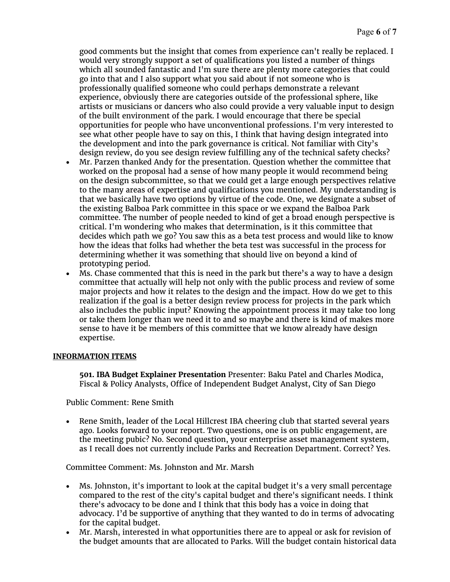good comments but the insight that comes from experience can't really be replaced. I would very strongly support a set of qualifications you listed a number of things which all sounded fantastic and I'm sure there are plenty more categories that could go into that and I also support what you said about if not someone who is professionally qualified someone who could perhaps demonstrate a relevant experience, obviously there are categories outside of the professional sphere, like artists or musicians or dancers who also could provide a very valuable input to design of the built environment of the park. I would encourage that there be special opportunities for people who have unconventional professions. I'm very interested to see what other people have to say on this, I think that having design integrated into the development and into the park governance is critical. Not familiar with City's design review, do you see design review fulfilling any of the technical safety checks?

- Mr. Parzen thanked Andy for the presentation. Question whether the committee that worked on the proposal had a sense of how many people it would recommend being on the design subcommittee, so that we could get a large enough perspectives relative to the many areas of expertise and qualifications you mentioned. My understanding is that we basically have two options by virtue of the code. One, we designate a subset of the existing Balboa Park committee in this space or we expand the Balboa Park committee. The number of people needed to kind of get a broad enough perspective is critical. I'm wondering who makes that determination, is it this committee that decides which path we go? You saw this as a beta test process and would like to know how the ideas that folks had whether the beta test was successful in the process for determining whether it was something that should live on beyond a kind of prototyping period.
- Ms. Chase commented that this is need in the park but there's a way to have a design committee that actually will help not only with the public process and review of some major projects and how it relates to the design and the impact. How do we get to this realization if the goal is a better design review process for projects in the park which also includes the public input? Knowing the appointment process it may take too long or take them longer than we need it to and so maybe and there is kind of makes more sense to have it be members of this committee that we know already have design expertise.

## **INFORMATION ITEMS**

**501. IBA Budget Explainer Presentation** Presenter: Baku Patel and Charles Modica, Fiscal & Policy Analysts, Office of Independent Budget Analyst, City of San Diego

Public Comment: Rene Smith

• Rene Smith, leader of the Local Hillcrest IBA cheering club that started several years ago. Looks forward to your report. Two questions, one is on public engagement, are the meeting pubic? No. Second question, your enterprise asset management system, as I recall does not currently include Parks and Recreation Department. Correct? Yes.

Committee Comment: Ms. Johnston and Mr. Marsh

- Ms. Johnston, it's important to look at the capital budget it's a very small percentage compared to the rest of the city's capital budget and there's significant needs. I think there's advocacy to be done and I think that this body has a voice in doing that advocacy. I'd be supportive of anything that they wanted to do in terms of advocating for the capital budget.
- Mr. Marsh, interested in what opportunities there are to appeal or ask for revision of the budget amounts that are allocated to Parks. Will the budget contain historical data